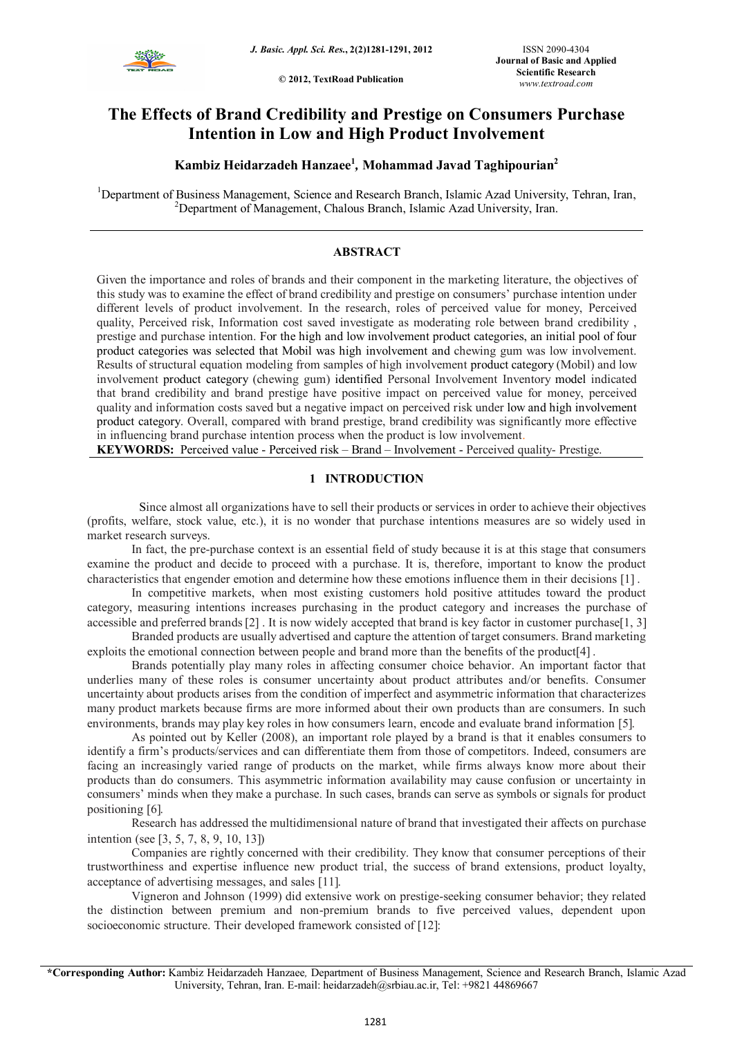

**© 2012, TextRoad Publication**

# **The Effects of Brand Credibility and Prestige on Consumers Purchase Intention in Low and High Product Involvement**

## **Kambiz Heidarzadeh Hanzaee<sup>1</sup>** *,* **Mohammad Javad Taghipourian<sup>2</sup>**

<sup>1</sup>Department of Business Management, Science and Research Branch, Islamic Azad University, Tehran, Iran, <sup>2</sup>Department of Management, Chalous Branch, Islamic Azad University, Iran.

## **ABSTRACT**

Given the importance and roles of brands and their component in the marketing literature, the objectives of this study was to examine the effect of brand credibility and prestige on consumers' purchase intention under different levels of product involvement. In the research, roles of perceived value for money, Perceived quality, Perceived risk, Information cost saved investigate as moderating role between brand credibility. prestige and purchase intention. For the high and low involvement product categories, an initial pool of four product categories was selected that Mobil was high involvement and chewing gum was low involvement. Results of structural equation modeling from samples of high involvement product category (Mobil) and low involvement product category (chewing gum) identified Personal Involvement Inventory model indicated that brand credibility and brand prestige have positive impact on perceived value for money, perceived quality and information costs saved but a negative impact on perceived risk under low and high involvement product category. Overall, compared with brand prestige, brand credibility was significantly more effective in influencing brand purchase intention process when the product is low involvement.

**KEYWORDS:** Perceived value - Perceived risk – Brand – Involvement - Perceived quality- Prestige.

## **1 INTRODUCTION**

 Since almost all organizations have to sell their products or services in order to achieve their objectives (profits, welfare, stock value, etc.), it is no wonder that purchase intentions measures are so widely used in market research surveys.

In fact, the pre-purchase context is an essential field of study because it is at this stage that consumers examine the product and decide to proceed with a purchase. It is, therefore, important to know the product characteristics that engender emotion and determine how these emotions influence them in their decisions [1].

In competitive markets, when most existing customers hold positive attitudes toward the product category, measuring intentions increases purchasing in the product category and increases the purchase of accessible and preferred brands [2]. It is now widely accepted that brand is key factor in customer purchase<sup>[1, 3]</sup>

Branded products are usually advertised and capture the attention of target consumers. Brand marketing exploits the emotional connection between people and brand more than the benefits of the product[4].

Brands potentially play many roles in affecting consumer choice behavior. An important factor that underlies many of these roles is consumer uncertainty about product attributes and/or benefits. Consumer uncertainty about products arises from the condition of imperfect and asymmetric information that characterizes many product markets because firms are more informed about their own products than are consumers. In such environments, brands may play key roles in how consumers learn, encode and evaluate brand information [5].

As pointed out by Keller (2008), an important role played by a brand is that it enables consumers to identify a firm's products/services and can differentiate them from those of competitors. Indeed, consumers are facing an increasingly varied range of products on the market, while firms always know more about their products than do consumers. This asymmetric information availability may cause confusion or uncertainty in consumers' minds when they make a purchase. In such cases, brands can serve as symbols or signals for product positioning [6].

Research has addressed the multidimensional nature of brand that investigated their affects on purchase intention (see [3, 5, 7, 8, 9, 10, 13])

Companies are rightly concerned with their credibility. They know that consumer perceptions of their trustworthiness and expertise influence new product trial, the success of brand extensions, product loyalty, acceptance of advertising messages, and sales [11].

Vigneron and Johnson (1999) did extensive work on prestige-seeking consumer behavior; they related the distinction between premium and non-premium brands to five perceived values, dependent upon socioeconomic structure. Their developed framework consisted of [12]:

**\*Corresponding Author:** Kambiz Heidarzadeh Hanzaee*,* Department of Business Management, Science and Research Branch, Islamic Azad University, Tehran, Iran. E-mail: heidarzadeh@srbiau.ac.ir, Tel: +9821 44869667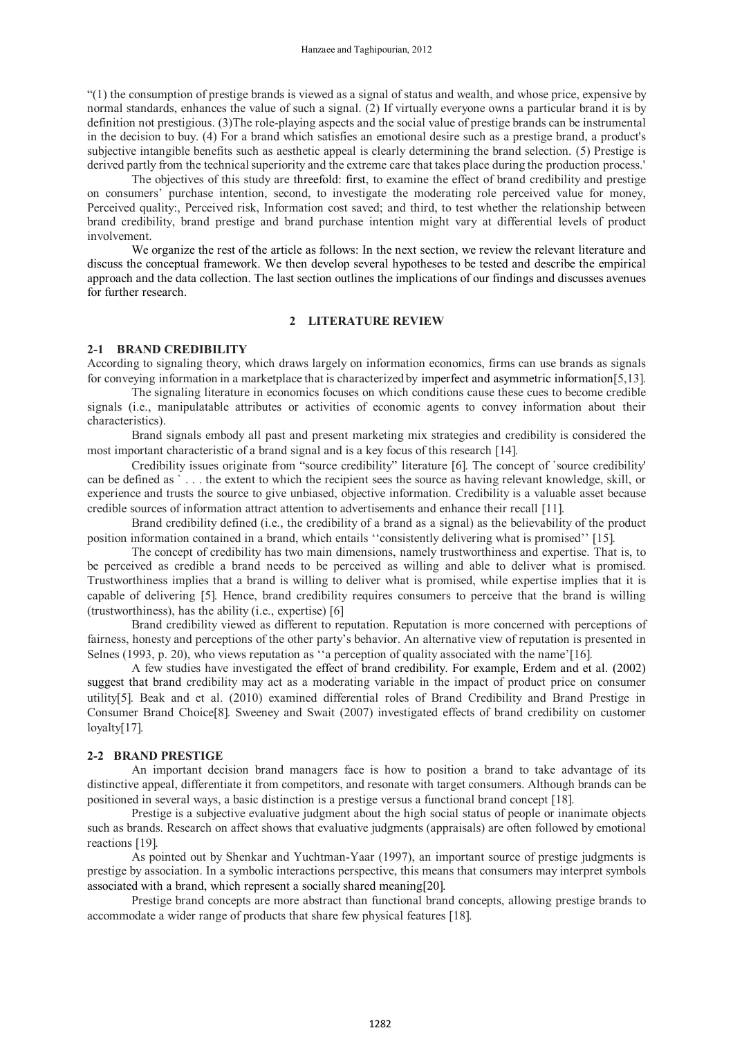"(1) the consumption of prestige brands is viewed as a signal of status and wealth, and whose price, expensive by normal standards, enhances the value of such a signal. (2) If virtually everyone owns a particular brand it is by definition not prestigious. (3)The role-playing aspects and the social value of prestige brands can be instrumental in the decision to buy. (4) For a brand which satisfies an emotional desire such as a prestige brand, a product's subjective intangible benefits such as aesthetic appeal is clearly determining the brand selection. (5) Prestige is derived partly from the technical superiority and the extreme care that takes place during the production process.'

The objectives of this study are threefold: first, to examine the effect of brand credibility and prestige on consumers' purchase intention, second, to investigate the moderating role perceived value for money, Perceived quality:, Perceived risk, Information cost saved; and third, to test whether the relationship between brand credibility, brand prestige and brand purchase intention might vary at differential levels of product involvement.

We organize the rest of the article as follows: In the next section, we review the relevant literature and discuss the conceptual framework. We then develop several hypotheses to be tested and describe the empirical approach and the data collection. The last section outlines the implications of our findings and discusses avenues for further research.

#### **2 LITERATURE REVIEW**

### **2-1 BRAND CREDIBILITY**

According to signaling theory, which draws largely on information economics, firms can use brands as signals for conveying information in a marketplace that is characterized by imperfect and asymmetric information $[5,13]$ .

The signaling literature in economics focuses on which conditions cause these cues to become credible signals (i.e., manipulatable attributes or activities of economic agents to convey information about their characteristics).

Brand signals embody all past and present marketing mix strategies and credibility is considered the most important characteristic of a brand signal and is a key focus of this research [14].

Credibility issues originate from "source credibility" literature [6]. The concept of `source credibility' can be defined as ` . . . the extent to which the recipient sees the source as having relevant knowledge, skill, or experience and trusts the source to give unbiased, objective information. Credibility is a valuable asset because credible sources of information attract attention to advertisements and enhance their recall 11.

Brand credibility defined (i.e., the credibility of a brand as a signal) as the believability of the product position information contained in a brand, which entails "consistently delivering what is promised" [15].

The concept of credibility has two main dimensions, namely trustworthiness and expertise. That is, to be perceived as credible a brand needs to be perceived as willing and able to deliver what is promised. Trustworthiness implies that a brand is willing to deliver what is promised, while expertise implies that it is capable of delivering [5]. Hence, brand credibility requires consumers to perceive that the brand is willing (trustworthiness), has the ability (i.e., expertise)  $[6]$ 

Brand credibility viewed as different to reputation. Reputation is more concerned with perceptions of fairness, honesty and perceptions of the other party's behavior. An alternative view of reputation is presented in Selnes (1993, p. 20), who views reputation as "a perception of quality associated with the name'[16].

A few studies have investigated the effect of brand credibility. For example, Erdem and et al. (2002) suggest that brand credibility may act as a moderating variable in the impact of product price on consumer utility5. Beak and et al. (2010) examined differential roles of Brand Credibility and Brand Prestige in Consumer Brand Choice<sup>[8]</sup>. Sweeney and Swait (2007) investigated effects of brand credibility on customer loyalty[17].

## **2-2 BRAND PRESTIGE**

An important decision brand managers face is how to position a brand to take advantage of its distinctive appeal, differentiate it from competitors, and resonate with target consumers. Although brands can be positioned in several ways, a basic distinction is a prestige versus a functional brand concept 18.

Prestige is a subjective evaluative judgment about the high social status of people or inanimate objects such as brands. Research on affect shows that evaluative judgments (appraisals) are often followed by emotional reactions [19].

As pointed out by Shenkar and Yuchtman-Yaar (1997), an important source of prestige judgments is prestige by association. In a symbolic interactions perspective, this means that consumers may interpret symbols associated with a brand, which represent a socially shared meaning[20].

Prestige brand concepts are more abstract than functional brand concepts, allowing prestige brands to accommodate a wider range of products that share few physical features [18].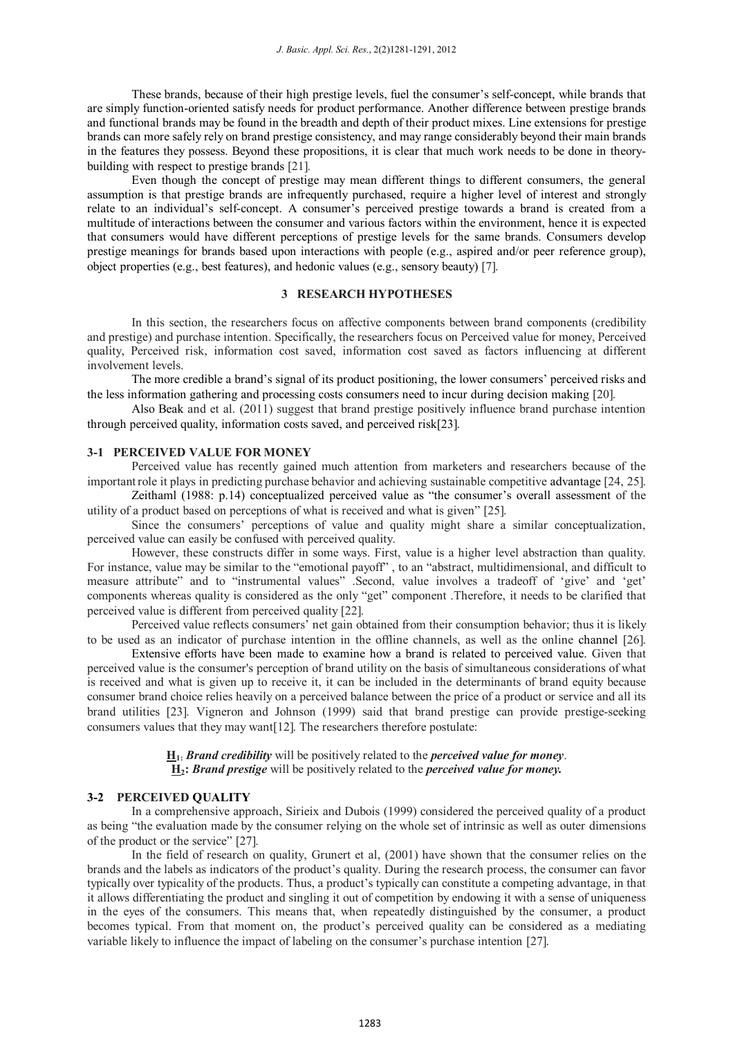These brands, because of their high prestige levels, fuel the consumer's self-concept, while brands that are simply function-oriented satisfy needs for product performance. Another difference between prestige brands and functional brands may be found in the breadth and depth of their product mixes. Line extensions for prestige brands can more safely rely on brand prestige consistency, and may range considerably beyond their main brands in the features they possess. Beyond these propositions, it is clear that much work needs to be done in theorybuilding with respect to prestige brands [21].

Even though the concept of prestige may mean different things to different consumers, the general assumption is that prestige brands are infrequently purchased, require a higher level of interest and strongly relate to an individual's self-concept. A consumer's perceived prestige towards a brand is created from a multitude of interactions between the consumer and various factors within the environment, hence it is expected that consumers would have different perceptions of prestige levels for the same brands. Consumers develop prestige meanings for brands based upon interactions with people (e.g., aspired and/or peer reference group), object properties (e.g., best features), and hedonic values (e.g., sensory beauty) [7].

## **3 RESEARCH HYPOTHESES**

In this section, the researchers focus on affective components between brand components (credibility and prestige) and purchase intention. Specifically, the researchers focus on Perceived value for money, Perceived quality, Perceived risk, information cost saved, information cost saved as factors influencing at different involvement levels.

The more credible a brand's signal of its product positioning, the lower consumers' perceived risks and the less information gathering and processing costs consumers need to incur during decision making [20].

Also Beak and et al. (2011) suggest that brand prestige positively influence brand purchase intention through perceived quality, information costs saved, and perceived risk[23].

#### **3-1 PERCEIVED VALUE FOR MONEY**

Perceived value has recently gained much attention from marketers and researchers because of the important role it plays in predicting purchase behavior and achieving sustainable competitive advantage [24, 25].

Zeithaml (1988: p.14) conceptualized perceived value as "the consumer's overall assessment of the utility of a product based on perceptions of what is received and what is given" [25].

Since the consumers' perceptions of value and quality might share a similar conceptualization, perceived value can easily be confused with perceived quality.

However, these constructs differ in some ways. First, value is a higher level abstraction than quality. For instance, value may be similar to the "emotional payoff", to an "abstract, multidimensional, and difficult to measure attribute" and to "instrumental values" .Second, value involves a tradeoff of 'give' and 'get' components whereas quality is considered as the only "get" component .Therefore, it needs to be clarified that perceived value is different from perceived quality [22].

Perceived value reflects consumers' net gain obtained from their consumption behavior; thus it is likely to be used as an indicator of purchase intention in the offline channels, as well as the online channel [26].

Extensive efforts have been made to examine how a brand is related to perceived value. Given that perceived value is the consumer's perception of brand utility on the basis of simultaneous considerations of what is received and what is given up to receive it, it can be included in the determinants of brand equity because consumer brand choice relies heavily on a perceived balance between the price of a product or service and all its brand utilities 23. Vigneron and Johnson (1999) said that brand prestige can provide prestige-seeking consumers values that they may want [12]. The researchers therefore postulate:

> **H1:** *Brand credibility* will be positively related to the *perceived value for money*. **H2:** *Brand prestige* will be positively related to the *perceived value for money.*

#### **3-2 PERCEIVED QUALITY**

In a comprehensive approach, Sirieix and Dubois (1999) considered the perceived quality of a product as being "the evaluation made by the consumer relying on the whole set of intrinsic as well as outer dimensions of the product or the service" [27].

In the field of research on quality, Grunert et al, (2001) have shown that the consumer relies on the brands and the labels as indicators of the product's quality. During the research process, the consumer can favor typically over typicality of the products. Thus, a product's typically can constitute a competing advantage, in that it allows differentiating the product and singling it out of competition by endowing it with a sense of uniqueness in the eyes of the consumers. This means that, when repeatedly distinguished by the consumer, a product becomes typical. From that moment on, the product's perceived quality can be considered as a mediating variable likely to influence the impact of labeling on the consumer's purchase intention [27].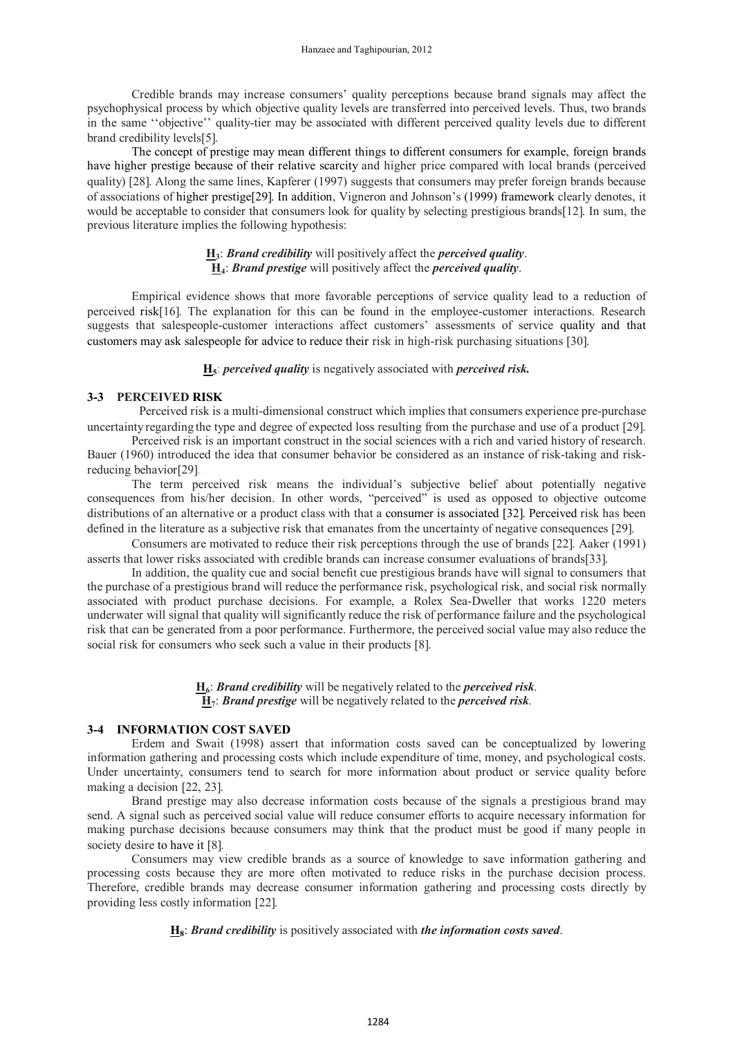Credible brands may increase consumers' quality perceptions because brand signals may affect the psychophysical process by which objective quality levels are transferred into perceived levels. Thus, two brands in the same ''objective'' quality-tier may be associated with different perceived quality levels due to different brand credibility levels[5].

The concept of prestige may mean different things to different consumers for example, foreign brands have higher prestige because of their relative scarcity and higher price compared with local brands (perceived quality) [28]. Along the same lines, Kapferer (1997) suggests that consumers may prefer foreign brands because of associations of higher prestige29. In addition, Vigneron and Johnson's (1999) framework clearly denotes, it would be acceptable to consider that consumers look for quality by selecting prestigious brands[12]. In sum, the previous literature implies the following hypothesis:

## **H3**: *Brand credibility* will positively affect the *perceived quality*. **H4**: *Brand prestige* will positively affect the *perceived quality*.

Empirical evidence shows that more favorable perceptions of service quality lead to a reduction of perceived risk16. The explanation for this can be found in the employee-customer interactions. Research suggests that salespeople-customer interactions affect customers' assessments of service quality and that customers may ask salespeople for advice to reduce their risk in high-risk purchasing situations [30].

**H5**: *perceived quality* is negatively associated with *perceived risk.*

### **3-3 PERCEIVED RISK**

 Perceived risk is a multi-dimensional construct which implies that consumers experience pre-purchase uncertainty regarding the type and degree of expected loss resulting from the purchase and use of a product [29].

Perceived risk is an important construct in the social sciences with a rich and varied history of research. Bauer (1960) introduced the idea that consumer behavior be considered as an instance of risk-taking and riskreducing behavior[29].

The term perceived risk means the individual's subjective belief about potentially negative consequences from his/her decision. In other words, "perceived" is used as opposed to objective outcome distributions of an alternative or a product class with that a consumer is associated [32]. Perceived risk has been defined in the literature as a subjective risk that emanates from the uncertainty of negative consequences [29].

Consumers are motivated to reduce their risk perceptions through the use of brands [22]. Aaker (1991) asserts that lower risks associated with credible brands can increase consumer evaluations of brands[33].

In addition, the quality cue and social benefit cue prestigious brands have will signal to consumers that the purchase of a prestigious brand will reduce the performance risk, psychological risk, and social risk normally associated with product purchase decisions. For example, a Rolex Sea-Dweller that works 1220 meters underwater will signal that quality will significantly reduce the risk of performance failure and the psychological risk that can be generated from a poor performance. Furthermore, the perceived social value may also reduce the social risk for consumers who seek such a value in their products [8].

> **H6**: *Brand credibility* will be negatively related to the *perceived risk*. **H7**: *Brand prestige* will be negatively related to the *perceived risk*.

#### **3-4 INFORMATION COST SAVED**

Erdem and Swait (1998) assert that information costs saved can be conceptualized by lowering information gathering and processing costs which include expenditure of time, money, and psychological costs. Under uncertainty, consumers tend to search for more information about product or service quality before making a decision [22, 23].

Brand prestige may also decrease information costs because of the signals a prestigious brand may send. A signal such as perceived social value will reduce consumer efforts to acquire necessary information for making purchase decisions because consumers may think that the product must be good if many people in society desire to have it [8].

Consumers may view credible brands as a source of knowledge to save information gathering and processing costs because they are more often motivated to reduce risks in the purchase decision process. Therefore, credible brands may decrease consumer information gathering and processing costs directly by providing less costly information [22].

**H8**: *Brand credibility* is positively associated with *the information costs saved*.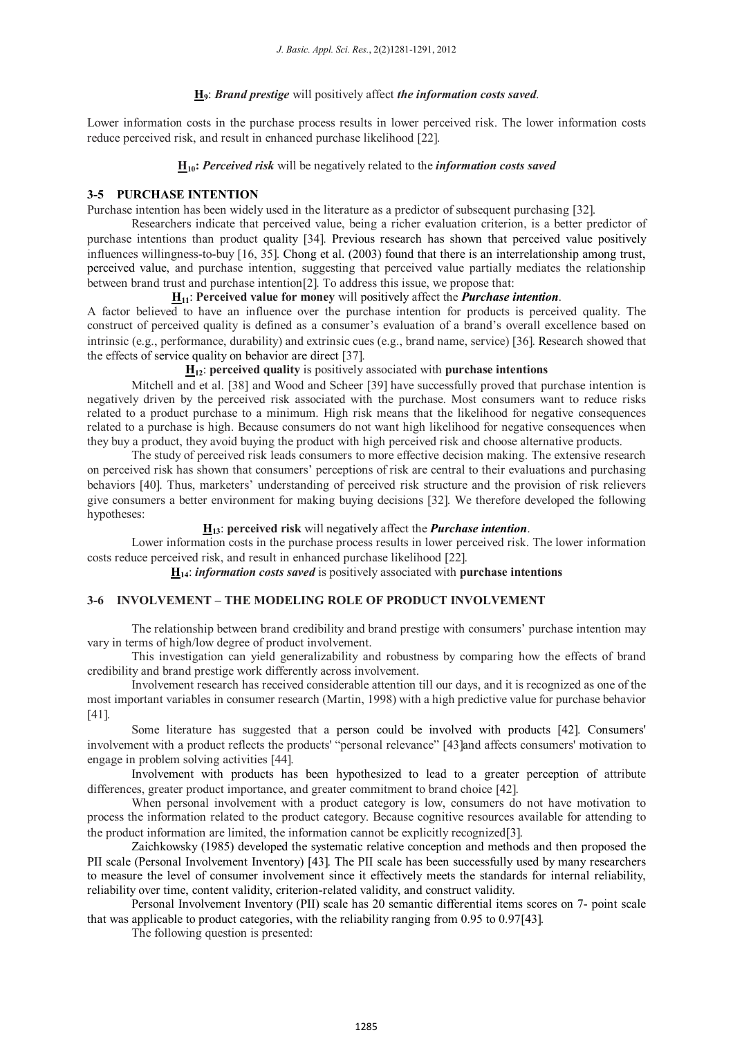## **H9**: *Brand prestige* will positively affect *the information costs saved*.

Lower information costs in the purchase process results in lower perceived risk. The lower information costs reduce perceived risk, and result in enhanced purchase likelihood [22].

## **H10:** *Perceived risk* will be negatively related to the *information costs saved*

## **3-5 PURCHASE INTENTION**

Purchase intention has been widely used in the literature as a predictor of subsequent purchasing [32].

Researchers indicate that perceived value, being a richer evaluation criterion, is a better predictor of purchase intentions than product quality 34. Previous research has shown that perceived value positively influences willingness-to-buy  $[16, 35]$ . Chong et al. (2003) found that there is an interrelationship among trust, perceived value, and purchase intention, suggesting that perceived value partially mediates the relationship between brand trust and purchase intention<sup>[2]</sup>. To address this issue, we propose that:

#### **H11**: **Perceived value for money** will positively affect the *Purchase intention*.

A factor believed to have an influence over the purchase intention for products is perceived quality. The construct of perceived quality is defined as a consumer's evaluation of a brand's overall excellence based on intrinsic (e.g., performance, durability) and extrinsic cues (e.g., brand name, service) [36]. Research showed that the effects of service quality on behavior are direct [37].

## **H12**: **perceived quality** is positively associated with **purchase intentions**

Mitchell and et al. [38] and Wood and Scheer [39] have successfully proved that purchase intention is negatively driven by the perceived risk associated with the purchase. Most consumers want to reduce risks related to a product purchase to a minimum. High risk means that the likelihood for negative consequences related to a purchase is high. Because consumers do not want high likelihood for negative consequences when they buy a product, they avoid buying the product with high perceived risk and choose alternative products.

The study of perceived risk leads consumers to more effective decision making. The extensive research on perceived risk has shown that consumers' perceptions of risk are central to their evaluations and purchasing behaviors [40]. Thus, marketers' understanding of perceived risk structure and the provision of risk relievers give consumers a better environment for making buying decisions 32. We therefore developed the following hypotheses:

## **H13**: **perceived risk** will negatively affect the *Purchase intention*.

Lower information costs in the purchase process results in lower perceived risk. The lower information costs reduce perceived risk, and result in enhanced purchase likelihood [22].

**H14**: *information costs saved* is positively associated with **purchase intentions**

## **3-6 INVOLVEMENT – THE MODELING ROLE OF PRODUCT INVOLVEMENT**

The relationship between brand credibility and brand prestige with consumers' purchase intention may vary in terms of high/low degree of product involvement.

This investigation can yield generalizability and robustness by comparing how the effects of brand credibility and brand prestige work differently across involvement.

Involvement research has received considerable attention till our days, and it is recognized as one of the most important variables in consumer research (Martin, 1998) with a high predictive value for purchase behavior 41.

Some literature has suggested that a person could be involved with products [42]. Consumers' involvement with a product reflects the products' "personal relevance" [43] and affects consumers' motivation to engage in problem solving activities [44].

Involvement with products has been hypothesized to lead to a greater perception of attribute differences, greater product importance, and greater commitment to brand choice [42].

When personal involvement with a product category is low, consumers do not have motivation to process the information related to the product category. Because cognitive resources available for attending to the product information are limited, the information cannot be explicitly recognized3.

Zaichkowsky (1985) developed the systematic relative conception and methods and then proposed the PII scale (Personal Involvement Inventory) [43]. The PII scale has been successfully used by many researchers to measure the level of consumer involvement since it effectively meets the standards for internal reliability, reliability over time, content validity, criterion-related validity, and construct validity.

Personal Involvement Inventory (PII) scale has 20 semantic differential items scores on 7- point scale that was applicable to product categories, with the reliability ranging from 0.95 to 0.9743.

The following question is presented: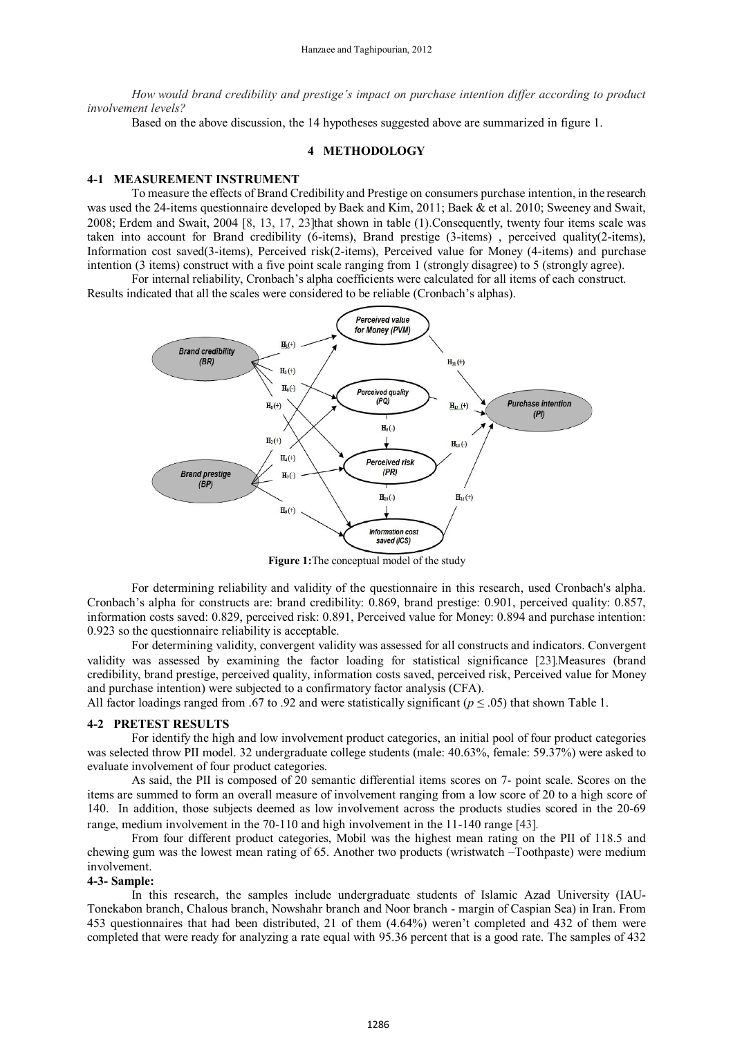*How would brand credibility and prestige's impact on purchase intention differ according to product involvement levels?*

Based on the above discussion, the 14 hypotheses suggested above are summarized in figure 1.

## **4 METHODOLOGY**

#### **4-1 MEASUREMENT INSTRUMENT**

To measure the effects of Brand Credibility and Prestige on consumers purchase intention, in the research was used the 24-items questionnaire developed by Baek and Kim, 2011; Baek & et al. 2010; Sweeney and Swait, 2008; Erdem and Swait, 2004 8, 13, 17, 23that shown in table (1).Consequently, twenty four items scale was taken into account for Brand credibility (6-items), Brand prestige (3-items) , perceived quality(2-items), Information cost saved(3-items), Perceived risk(2-items), Perceived value for Money (4-items) and purchase intention (3 items) construct with a five point scale ranging from 1 (strongly disagree) to 5 (strongly agree).

For internal reliability, Cronbach's alpha coefficients were calculated for all items of each construct. Results indicated that all the scales were considered to be reliable (Cronbach's alphas).



**Figure 1:** The conceptual model of the study

For determining reliability and validity of the questionnaire in this research, used Cronbach's alpha. Cronbach's alpha for constructs are: brand credibility: 0.869, brand prestige: 0.901, perceived quality: 0.857, information costs saved: 0.829, perceived risk: 0.891, Perceived value for Money: 0.894 and purchase intention: 0.923 so the questionnaire reliability is acceptable.

For determining validity, convergent validity was assessed for all constructs and indicators. Convergent validity was assessed by examining the factor loading for statistical significance [23]. Measures (brand credibility, brand prestige, perceived quality, information costs saved, perceived risk, Perceived value for Money and purchase intention) were subjected to a confirmatory factor analysis (CFA).

All factor loadings ranged from .67 to .92 and were statistically significant (*p* ≤ .05) that shown Table 1.

#### **4-2 PRETEST RESULTS**

For identify the high and low involvement product categories, an initial pool of four product categories was selected throw PII model. 32 undergraduate college students (male: 40.63%, female: 59.37%) were asked to evaluate involvement of four product categories.

As said, the PII is composed of 20 semantic differential items scores on 7- point scale. Scores on the items are summed to form an overall measure of involvement ranging from a low score of 20 to a high score of 140. In addition, those subjects deemed as low involvement across the products studies scored in the 20-69 range, medium involvement in the 70-110 and high involvement in the 11-140 range [43].

From four different product categories, Mobil was the highest mean rating on the PII of 118.5 and chewing gum was the lowest mean rating of 65. Another two products (wristwatch –Toothpaste) were medium involvement.

#### **4-3- Sample:**

In this research, the samples include undergraduate students of Islamic Azad University (IAU-Tonekabon branch, Chalous branch, Nowshahr branch and Noor branch - margin of Caspian Sea) in Iran. From 453 questionnaires that had been distributed, 21 of them (4.64%) weren't completed and 432 of them were completed that were ready for analyzing a rate equal with 95.36 percent that is a good rate. The samples of 432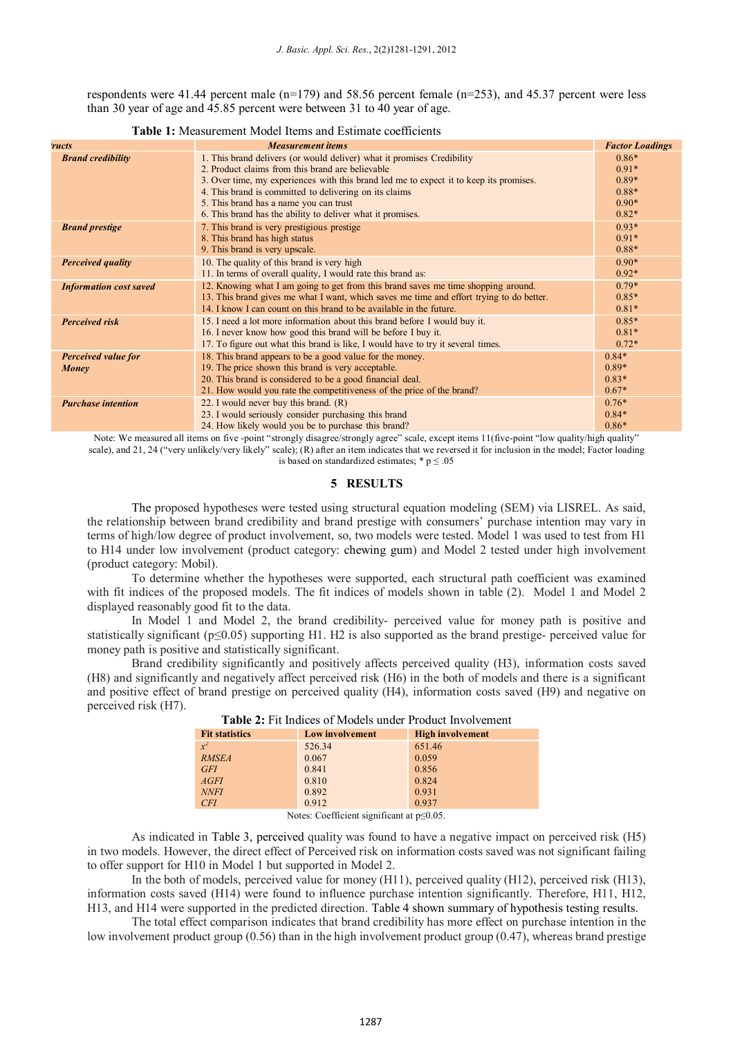respondents were 41.44 percent male ( $n=179$ ) and 58.56 percent female ( $n=253$ ), and 45.37 percent were less than 30 year of age and 45.85 percent were between 31 to 40 year of age.

| <b>ructs</b>                  | <b>Measurement items</b>                                                                                                                                                                                                                                                                                                                                                               | <b>Factor Loadings</b>                                         |
|-------------------------------|----------------------------------------------------------------------------------------------------------------------------------------------------------------------------------------------------------------------------------------------------------------------------------------------------------------------------------------------------------------------------------------|----------------------------------------------------------------|
| <b>Brand credibility</b>      | 1. This brand delivers (or would deliver) what it promises Credibility<br>2. Product claims from this brand are believable<br>3. Over time, my experiences with this brand led me to expect it to keep its promises.<br>4. This brand is committed to delivering on its claims<br>5. This brand has a name you can trust<br>6. This brand has the ability to deliver what it promises. | $0.86*$<br>$0.91*$<br>$0.89*$<br>$0.88*$<br>$0.90*$<br>$0.82*$ |
| <b>Brand prestige</b>         | 7. This brand is very prestigious prestige<br>8. This brand has high status<br>9. This brand is very upscale.                                                                                                                                                                                                                                                                          | $0.93*$<br>$0.91*$<br>$0.88*$                                  |
| <b>Perceived quality</b>      | 10. The quality of this brand is very high<br>11. In terms of overall quality, I would rate this brand as:                                                                                                                                                                                                                                                                             | $0.90*$<br>$0.92*$                                             |
| <b>Information cost saved</b> | 12. Knowing what I am going to get from this brand saves me time shopping around.<br>13. This brand gives me what I want, which saves me time and effort trying to do better.<br>14. I know I can count on this brand to be available in the future.                                                                                                                                   | $0.79*$<br>$0.85*$<br>$0.81*$                                  |
| <b>Perceived risk</b>         | 15. I need a lot more information about this brand before I would buy it.<br>16. I never know how good this brand will be before I buy it.<br>17. To figure out what this brand is like, I would have to try it several times.                                                                                                                                                         | $0.85*$<br>$0.81*$<br>$0.72*$                                  |
| Perceived value for<br>Money  | 18. This brand appears to be a good value for the money.<br>19. The price shown this brand is very acceptable.<br>20. This brand is considered to be a good financial deal.<br>21. How would you rate the competitiveness of the price of the brand?                                                                                                                                   | $0.84*$<br>$0.89*$<br>$0.83*$<br>$0.67*$                       |
| <b>Purchase intention</b>     | 22. I would never buy this brand. $(R)$<br>23. I would seriously consider purchasing this brand<br>24. How likely would you be to purchase this brand?                                                                                                                                                                                                                                 | $0.76*$<br>$0.84*$<br>$0.86*$                                  |

#### **Table 1:** Measurement Model Items and Estimate coefficients

Note: We measured all items on five -point "strongly disagree/strongly agree" scale, except items 11(five-point "low quality/high quality" scale), and 21, 24 ("very unlikely/very likely" scale); (R) after an item indicates that we reversed it for inclusion in the model; Factor loading is based on standardized estimates;  $*$  p  $\leq$  .05

#### **5 RESULTS**

The proposed hypotheses were tested using structural equation modeling (SEM) via LISREL. As said, the relationship between brand credibility and brand prestige with consumers' purchase intention may vary in terms of high/low degree of product involvement, so, two models were tested. Model 1 was used to test from H1 to H14 under low involvement (product category: chewing gum) and Model 2 tested under high involvement (product category: Mobil).

To determine whether the hypotheses were supported, each structural path coefficient was examined with fit indices of the proposed models. The fit indices of models shown in table (2). Model 1 and Model 2 displayed reasonably good fit to the data.

In Model 1 and Model 2, the brand credibility- perceived value for money path is positive and statistically significant ( $p \le 0.05$ ) supporting H1. H2 is also supported as the brand prestige- perceived value for money path is positive and statistically significant.

Brand credibility significantly and positively affects perceived quality (H3), information costs saved (H8) and significantly and negatively affect perceived risk (H6) in the both of models and there is a significant and positive effect of brand prestige on perceived quality (H4), information costs saved (H9) and negative on perceived risk (H7).

| <b>Fit statistics</b> | <b>Low involvement</b> | <b>High involvement</b> |
|-----------------------|------------------------|-------------------------|
| $x^2$                 | 526.34                 | 651.46                  |
| <b>RMSEA</b>          | 0.067                  | 0.059                   |
| <b>GFI</b>            | 0.841                  | 0.856                   |
| AGFI                  | 0.810                  | 0.824                   |
| <b>NNFI</b>           | 0.892                  | 0.931                   |
| CFI                   | 0.912                  | 0.937                   |

| <b>Table 2:</b> Fit Indices of Models under Product Involvement |  |
|-----------------------------------------------------------------|--|
|-----------------------------------------------------------------|--|

Notes: Coefficient significant at p≤0.05.

As indicated in Table 3, perceived quality was found to have a negative impact on perceived risk (H5) in two models. However, the direct effect of Perceived risk on information costs saved was not significant failing to offer support for H10 in Model 1 but supported in Model 2.

In the both of models, perceived value for money (H11), perceived quality (H12), perceived risk (H13), information costs saved (H14) were found to influence purchase intention significantly. Therefore, H11, H12, H13, and H14 were supported in the predicted direction. Table 4 shown summary of hypothesis testing results.

The total effect comparison indicates that brand credibility has more effect on purchase intention in the low involvement product group (0.56) than in the high involvement product group (0.47), whereas brand prestige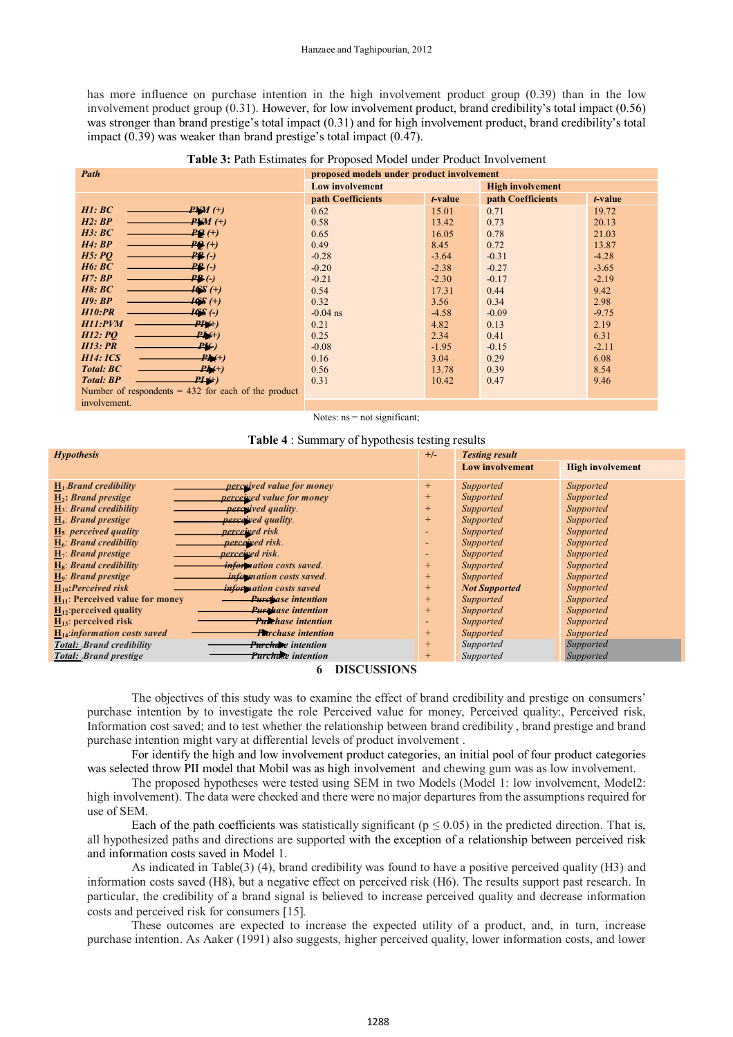has more influence on purchase intention in the high involvement product group (0.39) than in the low involvement product group (0.31). However, for low involvement product, brand credibility's total impact (0.56) was stronger than brand prestige's total impact (0.31) and for high involvement product, brand credibility's total impact (0.39) was weaker than brand prestige's total impact (0.47).

| <b>Table 3: Path Estimates for Proposed Model under Product Involvement</b> |  |  |  |  |  |  |
|-----------------------------------------------------------------------------|--|--|--|--|--|--|
|-----------------------------------------------------------------------------|--|--|--|--|--|--|

| Path                                                  | proposed models under product involvement |         |                         |         |  |  |
|-------------------------------------------------------|-------------------------------------------|---------|-------------------------|---------|--|--|
|                                                       | <b>Low involvement</b>                    |         | <b>High involvement</b> |         |  |  |
|                                                       | path Coefficients                         | t-value | path Coefficients       | t-value |  |  |
| H1:BC<br>$PWM$ (+)                                    | 0.62                                      | 15.01   | 0.71                    | 19.72   |  |  |
| H2:BP<br>$PVM$ (+)                                    | 0.58                                      | 13.42   | 0.73                    | 20.13   |  |  |
| H3:BC<br><b>PQ</b> (+)                                | 0.65                                      | 16.05   | 0.78                    | 21.03   |  |  |
| H4:BP<br>$PQ(+)$                                      | 0.49                                      | 8.45    | 0.72                    | 13.87   |  |  |
| H5:PO<br><b>PB</b> (-)                                | $-0.28$                                   | $-3.64$ | $-0.31$                 | $-4.28$ |  |  |
| H6:BC<br>$PR(\cdot)$                                  | $-0.20$                                   | $-2.38$ | $-0.27$                 | $-3.65$ |  |  |
| H7:BP<br>$P_{\mathbf{F}}(\cdot)$                      | $-0.21$                                   | $-2.30$ | $-0.17$                 | $-2.19$ |  |  |
| H8:BC<br><b>IGS</b> (+)                               | 0.54                                      | 17.31   | 0.44                    | 9.42    |  |  |
| H9:BP<br>$16S +$                                      | 0.32                                      | 3.56    | 0.34                    | 2.98    |  |  |
| H10:PR<br>$\overline{16S}$ (-)                        | $-0.04$ ns                                | $-4.58$ | $-0.09$                 | $-9.75$ |  |  |
| <b>H11:PVM</b><br>$PH(+)$                             | 0.21                                      | 4.82    | 0.13                    | 2.19    |  |  |
| H12:PO<br>$P_{\pm}(+)$                                | 0.25                                      | 2.34    | 0.41                    | 6.31    |  |  |
| <b>H13</b> : PR<br>P¥)                                | $-0.08$                                   | $-1.95$ | $-0.15$                 | $-2.11$ |  |  |
| H14: ICS<br>$PM+$                                     | 0.16                                      | 3.04    | 0.29                    | 6.08    |  |  |
| <b>Total: BC</b><br>$P_{\mathbf{A}}(+)$               | 0.56                                      | 13.78   | 0.39                    | 8.54    |  |  |
| <b>Total: BP</b><br>$P I \leftrightarrow$             | 0.31                                      | 10.42   | 0.47                    | 9.46    |  |  |
| Number of respondents $= 432$ for each of the product |                                           |         |                         |         |  |  |
| involvement.                                          |                                           |         |                         |         |  |  |

Notes:  $ns = not significant;$ 

|  |  |  |  |  |  | <b>Table 4</b> : Summary of hypothesis testing results |
|--|--|--|--|--|--|--------------------------------------------------------|
|--|--|--|--|--|--|--------------------------------------------------------|

| <b>Hypothesis</b>                                                  |                          | <b>Testing result</b>  |                         |
|--------------------------------------------------------------------|--------------------------|------------------------|-------------------------|
|                                                                    |                          | <b>Low involvement</b> | <b>High involvement</b> |
| $H_1$ : Brand credibility<br><i>perceived value for money</i>      | $^{+}$                   | Supported              | Supported               |
| <i>perceived value for money</i><br>$H_2$ : Brand prestige         | $^{+}$                   | Supported              | Supported               |
| <i>perceived quality.</i><br>$H_3$ : Brand credibility             | $\pm$                    | Supported              | Supported               |
| H <sub>4</sub> : Brand prestige<br><i>perceived quality.</i>       | $^{+}$                   | Supported              | Supported               |
| perceived risk<br>$H_5$ : perceived quality                        | -                        | Supported              | Supported               |
| $H_6$ : Brand credibility<br>perceived risk.                       | $\overline{\phantom{0}}$ | Supported              | Supported               |
| $H_7$ : Brand prestige<br><i>perceived risk.</i>                   | $\overline{\phantom{0}}$ | Supported              | Supported               |
| $H_8$ : Brand credibility<br><i>information costs saved.</i>       | $\pm$                    | Supported              | Supported               |
| H <sub>9</sub> : Brand prestige<br><i>information costs saved.</i> | $\pm$                    | Supported              | Supported               |
| $H_{10}$ : Perceived risk<br><i>information costs saved</i>        | $+$                      | <b>Not Supported</b>   | Supported               |
| $H_{11}$ : Perceived value for money<br><b>Purchase intention</b>  | $+$                      | Supported              | Supported               |
| $H_{12}$ : perceived quality<br><b>Purchase intention</b>          | $+$                      | Supported              | Supported               |
| $H_{13}$ : perceived risk<br><b>Purchase intention</b>             |                          | Supported              | Supported               |
| $H14:information costs saved$<br><b>Fa</b> rchase intention        | $+$                      | Supported              | Supported               |
| Purchase intention<br><b>Total: Brand credibility</b>              | $+$                      | Supported              | Supported               |
| <b>Purchase</b> intention<br>Total: Brand prestige                 | $\pm$                    | Supported              | Supported               |

#### **6 DISCUSSIONS**

The objectives of this study was to examine the effect of brand credibility and prestige on consumers' purchase intention by to investigate the role Perceived value for money, Perceived quality:, Perceived risk, Information cost saved; and to test whether the relationship between brand credibility , brand prestige and brand purchase intention might vary at differential levels of product involvement .

For identify the high and low involvement product categories, an initial pool of four product categories was selected throw PII model that Mobil was as high involvement and chewing gum was as low involvement.

The proposed hypotheses were tested using SEM in two Models (Model 1: low involvement, Model2: high involvement). The data were checked and there were no major departures from the assumptions required for use of SEM.

Each of the path coefficients was statistically significant ( $p \le 0.05$ ) in the predicted direction. That is, all hypothesized paths and directions are supported with the exception of a relationship between perceived risk and information costs saved in Model 1.

As indicated in Table(3) (4), brand credibility was found to have a positive perceived quality (H3) and information costs saved (H8), but a negative effect on perceived risk (H6). The results support past research. In particular, the credibility of a brand signal is believed to increase perceived quality and decrease information costs and perceived risk for consumers [15].

These outcomes are expected to increase the expected utility of a product, and, in turn, increase purchase intention. As Aaker (1991) also suggests, higher perceived quality, lower information costs, and lower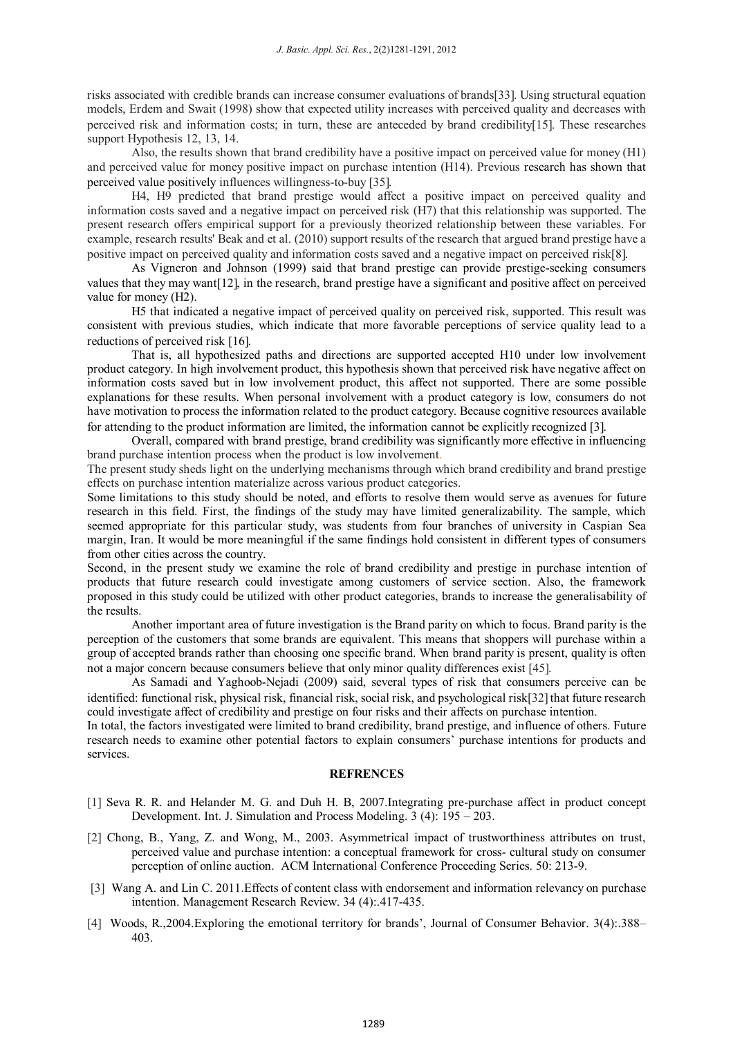risks associated with credible brands can increase consumer evaluations of brands[33]. Using structural equation models, Erdem and Swait (1998) show that expected utility increases with perceived quality and decreases with perceived risk and information costs; in turn, these are anteceded by brand credibility15. These researches support Hypothesis 12, 13, 14.

Also, the results shown that brand credibility have a positive impact on perceived value for money (H1) and perceived value for money positive impact on purchase intention (H14). Previous research has shown that perceived value positively influences willingness-to-buy [35].

H4, H9 predicted that brand prestige would affect a positive impact on perceived quality and information costs saved and a negative impact on perceived risk (H7) that this relationship was supported. The present research offers empirical support for a previously theorized relationship between these variables. For example, research results' Beak and et al. (2010) support results of the research that argued brand prestige have a positive impact on perceived quality and information costs saved and a negative impact on perceived risk[8].

As Vigneron and Johnson (1999) said that brand prestige can provide prestige-seeking consumers values that they may want [12], in the research, brand prestige have a significant and positive affect on perceived value for money (H2).

H5 that indicated a negative impact of perceived quality on perceived risk, supported. This result was consistent with previous studies, which indicate that more favorable perceptions of service quality lead to a reductions of perceived risk [16].

That is, all hypothesized paths and directions are supported accepted H10 under low involvement product category. In high involvement product, this hypothesis shown that perceived risk have negative affect on information costs saved but in low involvement product, this affect not supported. There are some possible explanations for these results. When personal involvement with a product category is low, consumers do not have motivation to process the information related to the product category. Because cognitive resources available for attending to the product information are limited, the information cannot be explicitly recognized [3].

Overall, compared with brand prestige, brand credibility was significantly more effective in influencing brand purchase intention process when the product is low involvement.

The present study sheds light on the underlying mechanisms through which brand credibility and brand prestige effects on purchase intention materialize across various product categories.

Some limitations to this study should be noted, and efforts to resolve them would serve as avenues for future research in this field. First, the findings of the study may have limited generalizability. The sample, which seemed appropriate for this particular study, was students from four branches of university in Caspian Sea margin, Iran. It would be more meaningful if the same findings hold consistent in different types of consumers from other cities across the country.

Second, in the present study we examine the role of brand credibility and prestige in purchase intention of products that future research could investigate among customers of service section. Also, the framework proposed in this study could be utilized with other product categories, brands to increase the generalisability of the results.

Another important area of future investigation is the Brand parity on which to focus. Brand parity is the perception of the customers that some brands are equivalent. This means that shoppers will purchase within a group of accepted brands rather than choosing one specific brand. When brand parity is present, quality is often not a major concern because consumers believe that only minor quality differences exist [45].

As Samadi and Yaghoob-Nejadi (2009) said, several types of risk that consumers perceive can be identified: functional risk, physical risk, financial risk, social risk, and psychological risk[32] that future research could investigate affect of credibility and prestige on four risks and their affects on purchase intention.

In total, the factors investigated were limited to brand credibility, brand prestige, and influence of others. Future research needs to examine other potential factors to explain consumers' purchase intentions for products and services.

#### **REFRENCES**

- [1] Seva R. R. and Helander M. G. and Duh H. B, 2007.Integrating pre-purchase affect in product concept Development. Int. J. Simulation and Process Modeling. 3 (4): 195 – 203.
- [2] Chong, B., Yang, Z. and Wong, M., 2003. Asymmetrical impact of trustworthiness attributes on trust, perceived value and purchase intention: a conceptual framework for cross- cultural study on consumer perception of online auction. ACM International Conference Proceeding Series. 50: 213-9.
- [3] Wang A. and Lin C. 2011.Effects of content class with endorsement and information relevancy on purchase intention. Management Research Review. 34 (4):.417-435.
- [4] Woods, R.,2004.Exploring the emotional territory for brands', Journal of Consumer Behavior. 3(4):.388– 403.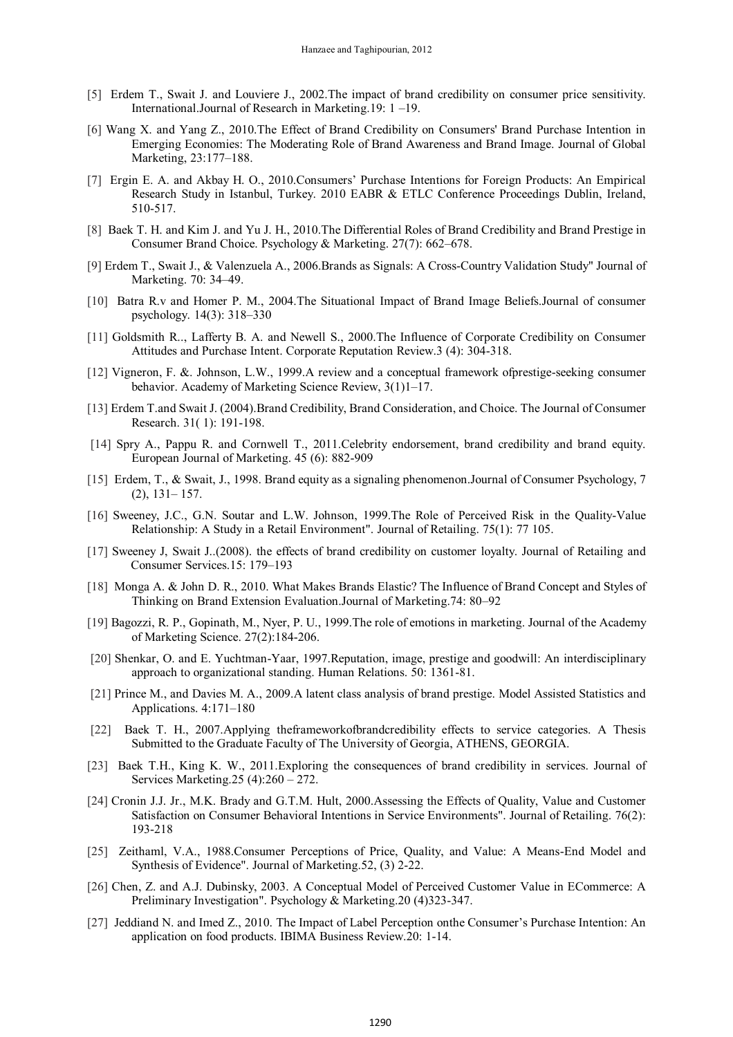- [5] Erdem T., Swait J. and Louviere J., 2002.The impact of brand credibility on consumer price sensitivity. International.Journal of Research in Marketing.19: 1 –19.
- [6] Wang X. and Yang Z., 2010.The Effect of Brand Credibility on Consumers' Brand Purchase Intention in Emerging Economies: The Moderating Role of Brand Awareness and Brand Image. Journal of Global Marketing, 23:177–188.
- [7] Ergin E. A. and Akbay H. O., 2010.Consumers' Purchase Intentions for Foreign Products: An Empirical Research Study in Istanbul, Turkey. 2010 EABR & ETLC Conference Proceedings Dublin, Ireland, 510-517.
- [8] Baek T. H. and Kim J. and Yu J. H., 2010.The Differential Roles of Brand Credibility and Brand Prestige in Consumer Brand Choice. Psychology & Marketing. 27(7): 662–678.
- [9] Erdem T., Swait J., & Valenzuela A., 2006.Brands as Signals: A Cross-Country Validation Study" Journal of Marketing. 70: 34–49.
- [10] Batra R.v and Homer P. M., 2004.The Situational Impact of Brand Image Beliefs.Journal of consumer psychology. 14(3): 318–330
- [11] Goldsmith R.., Lafferty B. A. and Newell S., 2000.The Influence of Corporate Credibility on Consumer Attitudes and Purchase Intent. Corporate Reputation Review.3 (4): 304-318.
- [12] Vigneron, F. &. Johnson, L.W., 1999.A review and a conceptual framework ofprestige-seeking consumer behavior. Academy of Marketing Science Review, 3(1)1–17.
- [13] Erdem T.and Swait J. (2004).Brand Credibility, Brand Consideration, and Choice. The Journal of Consumer Research. 31( 1): 191-198.
- [14] Spry A., Pappu R. and Cornwell T., 2011.Celebrity endorsement, brand credibility and brand equity. European Journal of Marketing. 45 (6): 882-909
- [15] Erdem, T., & Swait, J., 1998. Brand equity as a signaling phenomenon.Journal of Consumer Psychology, 7 (2), 131– 157.
- [16] Sweeney, J.C., G.N. Soutar and L.W. Johnson, 1999.The Role of Perceived Risk in the Quality-Value Relationship: A Study in a Retail Environment". Journal of Retailing. 75(1): 77 105.
- [17] Sweeney J, Swait J..(2008). the effects of brand credibility on customer loyalty. Journal of Retailing and Consumer Services.15: 179–193
- [18] Monga A. & John D. R., 2010. What Makes Brands Elastic? The Influence of Brand Concept and Styles of Thinking on Brand Extension Evaluation.Journal of Marketing.74: 80–92
- [19] Bagozzi, R. P., Gopinath, M., Nyer, P. U., 1999.The role of emotions in marketing. Journal of the Academy of Marketing Science. 27(2):184-206.
- [20] Shenkar, O. and E. Yuchtman-Yaar, 1997.Reputation, image, prestige and goodwill: An interdisciplinary approach to organizational standing. Human Relations. 50: 1361-81.
- [21] Prince M., and Davies M. A., 2009.A latent class analysis of brand prestige. Model Assisted Statistics and Applications. 4:171–180
- [22] Baek T. H., 2007.Applying theframeworkofbrandcredibility effects to service categories. A Thesis Submitted to the Graduate Faculty of The University of Georgia, ATHENS, GEORGIA.
- [23] Baek T.H., King K. W., 2011.Exploring the consequences of brand credibility in services. Journal of Services Marketing.25 (4):260 – 272.
- [24] Cronin J.J. Jr., M.K. Brady and G.T.M. Hult, 2000.Assessing the Effects of Quality, Value and Customer Satisfaction on Consumer Behavioral Intentions in Service Environments". Journal of Retailing. 76(2): 193-218
- [25] Zeithaml, V.A., 1988.Consumer Perceptions of Price, Quality, and Value: A Means-End Model and Synthesis of Evidence". Journal of Marketing.52, (3) 2-22.
- [26] Chen, Z. and A.J. Dubinsky, 2003. A Conceptual Model of Perceived Customer Value in ECommerce: A Preliminary Investigation". Psychology & Marketing.20 (4)323-347.
- [27] Jeddiand N. and Imed Z., 2010. The Impact of Label Perception onthe Consumer's Purchase Intention: An application on food products. IBIMA Business Review.20: 1-14.